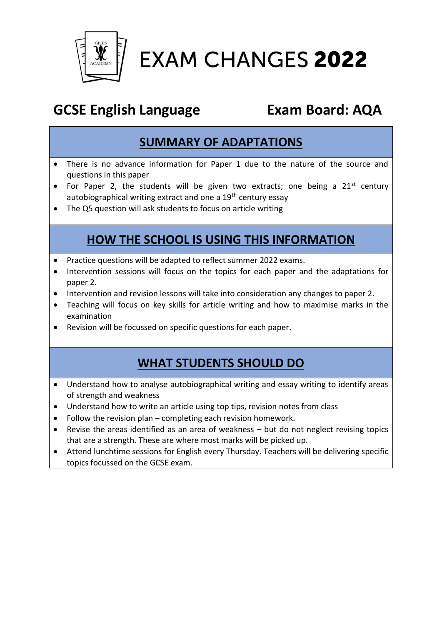

**EXAM CHANGES 2022** 

# **GCSE English Language Exam Board: AQA**

## **SUMMARY OF ADAPTATIONS**

- There is no advance information for Paper 1 due to the nature of the source and questions in this paper
- For Paper 2, the students will be given two extracts; one being a  $21^{st}$  century autobiographical writing extract and one a 19<sup>th</sup> century essay
- The Q5 question will ask students to focus on article writing

## **HOW THE SCHOOL IS USING THIS INFORMATION**

- Practice questions will be adapted to reflect summer 2022 exams.
- Intervention sessions will focus on the topics for each paper and the adaptations for paper 2.
- Intervention and revision lessons will take into consideration any changes to paper 2.
- Teaching will focus on key skills for article writing and how to maximise marks in the examination
- Revision will be focussed on specific questions for each paper.

#### **WHAT STUDENTS SHOULD DO**

- Understand how to analyse autobiographical writing and essay writing to identify areas of strength and weakness
- Understand how to write an article using top tips, revision notes from class
- Follow the revision plan completing each revision homework.
- Revise the areas identified as an area of weakness but do not neglect revising topics that are a strength. These are where most marks will be picked up.
- Attend lunchtime sessions for English every Thursday. Teachers will be delivering specific topics focussed on the GCSE exam.